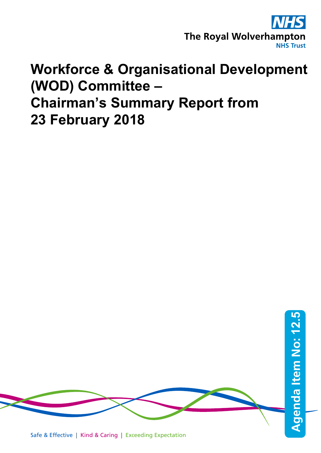

## **Workforce & Organisational Development (WOD) Committee – Chairman's Summary Report from 23 February 2018**

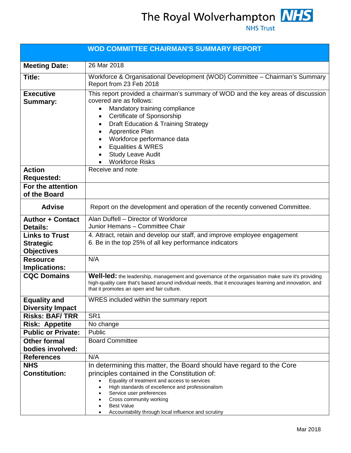The Royal Wolverhampton MHS

**NHS Trust** 

| 26 Mar 2018<br>Workforce & Organisational Development (WOD) Committee - Chairman's Summary<br>Report from 23 Feb 2018<br>This report provided a chairman's summary of WOD and the key areas of discussion<br>covered are as follows:<br>Mandatory training compliance<br>Certificate of Sponsorship<br>$\bullet$<br><b>Draft Education &amp; Training Strategy</b><br>٠<br>Apprentice Plan<br>$\bullet$<br>Workforce performance data<br>$\bullet$<br>Equalities & WRES<br>$\bullet$<br><b>Study Leave Audit</b> |  |  |  |
|------------------------------------------------------------------------------------------------------------------------------------------------------------------------------------------------------------------------------------------------------------------------------------------------------------------------------------------------------------------------------------------------------------------------------------------------------------------------------------------------------------------|--|--|--|
|                                                                                                                                                                                                                                                                                                                                                                                                                                                                                                                  |  |  |  |
|                                                                                                                                                                                                                                                                                                                                                                                                                                                                                                                  |  |  |  |
| <b>Workforce Risks</b>                                                                                                                                                                                                                                                                                                                                                                                                                                                                                           |  |  |  |
| Receive and note                                                                                                                                                                                                                                                                                                                                                                                                                                                                                                 |  |  |  |
|                                                                                                                                                                                                                                                                                                                                                                                                                                                                                                                  |  |  |  |
| Report on the development and operation of the recently convened Committee.                                                                                                                                                                                                                                                                                                                                                                                                                                      |  |  |  |
| Alan Duffell - Director of Workforce<br>Junior Hemans - Committee Chair                                                                                                                                                                                                                                                                                                                                                                                                                                          |  |  |  |
| 4. Attract, retain and develop our staff, and improve employee engagement<br>6. Be in the top 25% of all key performance indicators                                                                                                                                                                                                                                                                                                                                                                              |  |  |  |
| N/A                                                                                                                                                                                                                                                                                                                                                                                                                                                                                                              |  |  |  |
| Well-led: the leadership, management and governance of the organisation make sure it's providing<br>high-quality care that's based around individual needs, that it encourages learning and innovation, and<br>that it promotes an open and fair culture.                                                                                                                                                                                                                                                        |  |  |  |
| WRES included within the summary report                                                                                                                                                                                                                                                                                                                                                                                                                                                                          |  |  |  |
| SR <sub>1</sub>                                                                                                                                                                                                                                                                                                                                                                                                                                                                                                  |  |  |  |
| No change                                                                                                                                                                                                                                                                                                                                                                                                                                                                                                        |  |  |  |
| Public                                                                                                                                                                                                                                                                                                                                                                                                                                                                                                           |  |  |  |
| <b>Board Committee</b>                                                                                                                                                                                                                                                                                                                                                                                                                                                                                           |  |  |  |
|                                                                                                                                                                                                                                                                                                                                                                                                                                                                                                                  |  |  |  |
| N/A                                                                                                                                                                                                                                                                                                                                                                                                                                                                                                              |  |  |  |
| In determining this matter, the Board should have regard to the Core<br>principles contained in the Constitution of:<br>Equality of treatment and access to services<br>High standards of excellence and professionalism<br>Service user preferences<br>Cross community working<br>$\bullet$<br><b>Best Value</b><br>Accountability through local influence and scrutiny                                                                                                                                         |  |  |  |
|                                                                                                                                                                                                                                                                                                                                                                                                                                                                                                                  |  |  |  |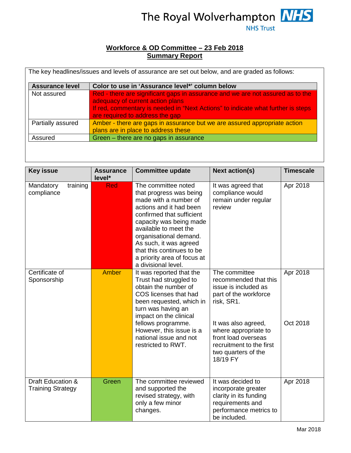

## **Workforce & OD Committee – 23 Feb 2018 Summary Report**

| <b>Assurance level</b> | Color to use in 'Assurance level*' column below                                                                                                                                                                                           |
|------------------------|-------------------------------------------------------------------------------------------------------------------------------------------------------------------------------------------------------------------------------------------|
| Not assured            | Red - there are significant gaps in assurance and we are not assured as to the<br>adequacy of current action plans<br>If red, commentary is needed in "Next Actions" to indicate what further is steps<br>are required to address the gap |
| Partially assured      | Amber - there are gaps in assurance but we are assured appropriate action<br>plans are in place to address these                                                                                                                          |
| Assured                | Green - there are no gaps in assurance                                                                                                                                                                                                    |

| <b>Key issue</b>                              | <b>Assurance</b><br>level* | <b>Committee update</b>                                                                                                                                                                                                                                                                                                    | <b>Next action(s)</b>                                                                                                                                                                                                                      | <b>Timescale</b>     |
|-----------------------------------------------|----------------------------|----------------------------------------------------------------------------------------------------------------------------------------------------------------------------------------------------------------------------------------------------------------------------------------------------------------------------|--------------------------------------------------------------------------------------------------------------------------------------------------------------------------------------------------------------------------------------------|----------------------|
| training<br>Mandatory<br>compliance           | <b>Red</b>                 | The committee noted<br>that progress was being<br>made with a number of<br>actions and it had been<br>confirmed that sufficient<br>capacity was being made<br>available to meet the<br>organisational demand.<br>As such, it was agreed<br>that this continues to be<br>a priority area of focus at<br>a divisional level. | It was agreed that<br>compliance would<br>remain under regular<br>review                                                                                                                                                                   | Apr 2018             |
| Certificate of<br>Sponsorship                 | <b>Amber</b>               | It was reported that the<br>Trust had struggled to<br>obtain the number of<br>COS licenses that had<br>been requested, which in<br>turn was having an<br>impact on the clinical<br>fellows programme.<br>However, this issue is a<br>national issue and not<br>restricted to RWT.                                          | The committee<br>recommended that this<br>issue is included as<br>part of the workforce<br>risk, SR1.<br>It was also agreed,<br>where appropriate to<br>front load overseas<br>recruitment to the first<br>two quarters of the<br>18/19 FY | Apr 2018<br>Oct 2018 |
| Draft Education &<br><b>Training Strategy</b> | Green                      | The committee reviewed<br>and supported the<br>revised strategy, with<br>only a few minor<br>changes.                                                                                                                                                                                                                      | It was decided to<br>incorporate greater<br>clarity in its funding<br>requirements and<br>performance metrics to<br>be included.                                                                                                           | Apr 2018             |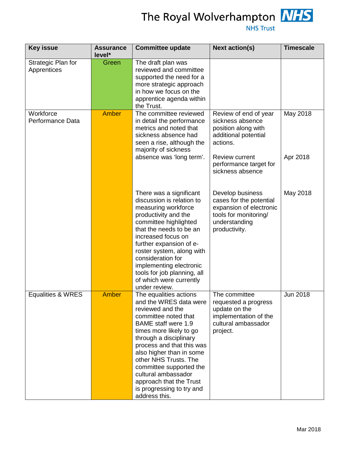

The Royal Wolverhampton MHS

**NHS Trust** 

| <b>Key issue</b>                  | <b>Assurance</b><br>level* | <b>Committee update</b>                                                                                                                                                                                                                                                                                                                                                                      | <b>Next action(s)</b>                                                                                                             | <b>Timescale</b>      |
|-----------------------------------|----------------------------|----------------------------------------------------------------------------------------------------------------------------------------------------------------------------------------------------------------------------------------------------------------------------------------------------------------------------------------------------------------------------------------------|-----------------------------------------------------------------------------------------------------------------------------------|-----------------------|
| Strategic Plan for<br>Apprentices | Green                      | The draft plan was<br>reviewed and committee<br>supported the need for a<br>more strategic approach<br>in how we focus on the<br>apprentice agenda within<br>the Trust.                                                                                                                                                                                                                      |                                                                                                                                   |                       |
| Workforce<br>Performance Data     | <b>Amber</b>               | The committee reviewed<br>in detail the performance<br>metrics and noted that<br>sickness absence had<br>seen a rise, although the<br>majority of sickness                                                                                                                                                                                                                                   | Review of end of year<br>sickness absence<br>position along with<br>additional potential<br>actions.                              | May 2018              |
|                                   |                            | absence was 'long term'.                                                                                                                                                                                                                                                                                                                                                                     | <b>Review current</b><br>performance target for<br>sickness absence                                                               | Apr 2018              |
|                                   |                            | There was a significant<br>discussion is relation to<br>measuring workforce<br>productivity and the<br>committee highlighted<br>that the needs to be an<br>increased focus on<br>further expansion of e-<br>roster system, along with<br>consideration for<br>implementing electronic<br>tools for job planning, all<br>of which were currently<br>under review.                             | Develop business<br>cases for the potential<br>expansion of electronic<br>tools for monitoring/<br>understanding<br>productivity. | May 2018              |
| <b>Equalities &amp; WRES</b>      | Amber                      | The equalities actions<br>and the WRES data were<br>reviewed and the<br>committee noted that<br><b>BAME</b> staff were 1.9<br>times more likely to go<br>through a disciplinary<br>process and that this was<br>also higher than in some<br>other NHS Trusts. The<br>committee supported the<br>cultural ambassador<br>approach that the Trust<br>is progressing to try and<br>address this. | The committee<br>requested a progress<br>update on the<br>implementation of the<br>cultural ambassador<br>project.                | Jun $20\overline{18}$ |